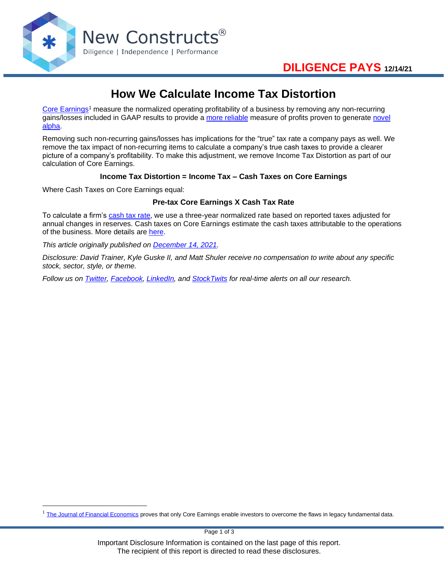

# **How We Calculate Income Tax Distortion**

[Core Earnings](https://www.newconstructs.com/education-core-earnings-earnings-distortion/)<sup>1</sup> measure the normalized operating profitability of a business by removing any non-recurring gains/losses included in GAAP results to provide a [more reliable](https://www.newconstructs.com/its-official-we-offer-the-best-fundamental-data-in-the-world/) measure of profits proven to generate [novel](https://www.newconstructs.com/alpha-from-earnings-distortion/)  [alpha.](https://www.newconstructs.com/alpha-from-earnings-distortion/)

Removing such non-recurring gains/losses has implications for the "true" tax rate a company pays as well. We remove the tax impact of non-recurring items to calculate a company's true cash taxes to provide a clearer picture of a company's profitability. To make this adjustment, we remove Income Tax Distortion as part of our calculation of Core Earnings.

### **Income Tax Distortion = Income Tax – Cash Taxes on Core Earnings**

Where Cash Taxes on Core Earnings equal:

### **Pre-tax Core Earnings X Cash Tax Rate**

To calculate a firm's [cash tax rate,](https://www.newconstructs.com/non-operating-tax-adjustment/) we use a three-year normalized rate based on reported taxes adjusted for annual changes in reserves. Cash taxes on Core Earnings estimate the cash taxes attributable to the operations of the business. More details are [here.](https://www.newconstructs.com/updating-historical-cash-tax-rates-from-2017-2019/)

*This article originally published on [December 14, 2021.](https://www.newconstructs.com/how-we-calculate-income-tax-distortion/)*

*Disclosure: David Trainer, Kyle Guske II, and Matt Shuler receive no compensation to write about any specific stock, sector, style, or theme.*

*Follow us on [Twitter,](https://twitter.com/NewConstructs) [Facebook,](https://www.facebook.com/newconstructsllc/) [LinkedIn,](https://www.linkedin.com/company/new-constructs) and [StockTwits](https://stocktwits.com/dtrainer_NewConstructs) for real-time alerts on all our research.*

 $1$  [The Journal of Financial Economics](https://papers.ssrn.com/sol3/papers.cfm?abstract_id=3467814) proves that only Core Earnings enable investors to overcome the flaws in legacy fundamental data.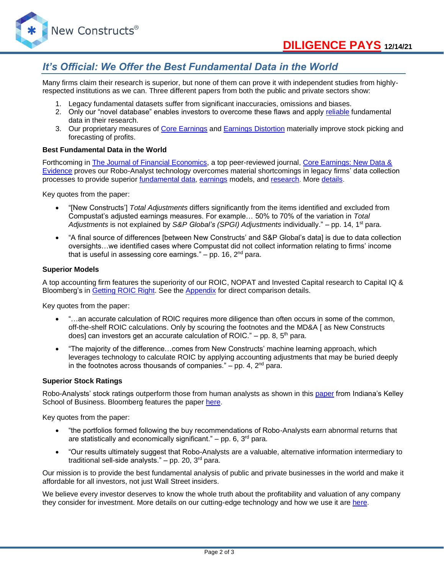

# *It's Official: We Offer the Best Fundamental Data in the World*

Many firms claim their research is superior, but none of them can prove it with independent studies from highlyrespected institutions as we can. Three different papers from both the public and private sectors show:

- 1. Legacy fundamental datasets suffer from significant inaccuracies, omissions and biases.
- 2. Only our "novel database" enables investors to overcome these flaws and apply [reliable](https://www.newconstructs.com/evidence-on-the-superiority-of-our-earnings-data/) fundamental data in their research.
- 3. Our proprietary measures of [Core Earnings](https://www.newconstructs.com/education-core-earnings-earnings-distortion/) and [Earnings Distortion](https://www.newconstructs.com/earnings-distortion-score-methodology/) materially improve stock picking and forecasting of profits.

#### **Best Fundamental Data in the World**

Forthcoming in [The Journal of Financial Economics,](http://jfe.rochester.edu/) a top peer-reviewed journal, [Core Earnings: New Data &](https://papers.ssrn.com/sol3/papers.cfm?abstract_id=3467814)  [Evidence](https://papers.ssrn.com/sol3/papers.cfm?abstract_id=3467814) proves our Robo-Analyst technology overcomes material shortcomings in legacy firms' data collection processes to provide superior [fundamental data,](https://www.newconstructs.com/data/) [earnings](https://www.newconstructs.com/education-core-earnings-earnings-distortion/) models, and [research.](https://www.newconstructs.com/blog/) More [details.](https://www.newconstructs.com/evidence-on-the-superiority-of-our-earnings-data/)

Key quotes from the paper:

- "[New Constructs'] *Total Adjustments* differs significantly from the items identified and excluded from Compustat's adjusted earnings measures. For example… 50% to 70% of the variation in *Total Adjustments* is not explained by *S&P Global's (SPGI) Adjustments* individually." – pp. 14, 1st para.
- "A final source of differences [between New Constructs' and S&P Global's data] is due to data collection oversights…we identified cases where Compustat did not collect information relating to firms' income that is useful in assessing core earnings."  $-$  pp. 16,  $2<sup>nd</sup>$  para.

#### **Superior Models**

A top accounting firm features the superiority of our ROIC, NOPAT and Invested Capital research to Capital IQ & Bloomberg's in [Getting](https://www.newconstructs.com/getting-roic-right/) ROIC Right. See the [Appendix](https://www.newconstructs.com/wp-content/uploads/2019/06/Getting-ROIC-Right.pdf) for direct comparison details.

Key quotes from the paper:

- "...an accurate calculation of ROIC requires more diligence than often occurs in some of the common, off-the-shelf ROIC calculations. Only by scouring the footnotes and the MD&A [ as New Constructs does] can investors get an accurate calculation of ROIC." – pp. 8,  $5<sup>th</sup>$  para.
- "The majority of the difference…comes from New Constructs' machine learning approach, which leverages technology to calculate ROIC by applying accounting adjustments that may be buried deeply in the footnotes across thousands of companies."  $-$  pp. 4,  $2<sup>nd</sup>$  para.

#### **Superior Stock Ratings**

Robo-Analysts' stock ratings outperform those from human analysts as shown in this [paper](https://papers.ssrn.com/sol3/papers.cfm?abstract_id=3514879) from Indiana's Kelley School of Business. Bloomberg features the paper [here.](https://www.bloomberg.com/news/articles/2020-02-11/robot-analysts-outwit-humans-in-study-of-profit-from-stock-calls?sref=zw7RLDfe)

Key quotes from the paper:

- "the portfolios formed following the buy recommendations of Robo-Analysts earn abnormal returns that are statistically and economically significant."  $-$  pp. 6, 3<sup>rd</sup> para.
- "Our results ultimately suggest that Robo-Analysts are a valuable, alternative information intermediary to traditional sell-side analysts."  $-$  pp. 20, 3<sup>rd</sup> para.

Our mission is to provide the best fundamental analysis of public and private businesses in the world and make it affordable for all investors, not just Wall Street insiders.

We believe every investor deserves to know the whole truth about the profitability and valuation of any company they consider for investment. More details on our cutting-edge technology and how we use it are [here.](https://www.youtube.com/watch?v=wRUr5w4zDVA)